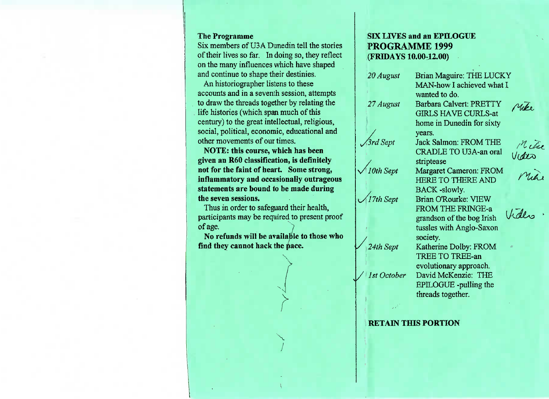#### **The Programme**

 Six members of U3A Dunedin tell the stories of their lives so far. In doing so, they reflecton the many influences which have shapedand continue to shape their destinies.

An historiographer listens to these accounts and in a seventh session, attempts to draw the threads together by relating thelife histories (which span much of this century) to the great intellectual, religious, social, political, economic, educational andother movements of our times.

 **NOTE: this course, which has been given an R60 classification,** is definitely **not** for **the faint of heart. Some strong,inflammatory and occasionally outrageousstatements are bound to be made duringthe seven sessions.**

 Thus in order to safeguard their health, participants may be required to present proofof age. *J*

 **No refunds will be** available **to those whofind they cannot hack the pace.**

> **\**/

# **SIX LIVES and an EPILOGUEPROGRAMME 1999(FRIDAYS 10.00-12.00)**

Brian Maguire: THE LUCKY*20 August* MAN-how I achieved what Iwanted to do. Barbara Calvert: PRETTY*27 August* GIRLS HAVE CURLS-at home in Dunedin for sixtyyears.**Srd Sept**  Jack Salmon: FROM THE CRADLE TO U3A-an oralVides striptease $\sqrt{10}$ th Sept Margaret Cameron: FROM HERE TO THERE ANDBACK -slowly. Brian O'Rourke: VIEW17th Sept FROM THE FRINGE-a grandson of the bog Irish tussles with Anglo-Saxonsociety.*24th Sept* Katherine Dolby: FROMTREE TO TREE-an evolutionary approach. David McKenzie: THEI/ *1st October* EPILOGUE -pulling thethreads together.

#### **RETAIN THIS PORTION**

Mike.

Mitre

Mil